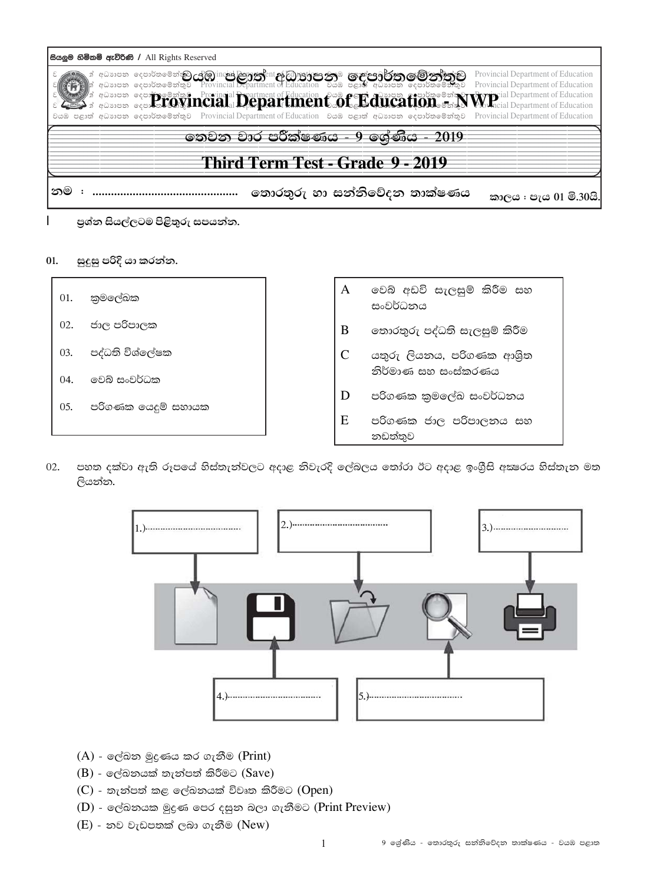|    | සියලුම හිමිකම් ඇව්රිණි / All Rights Reserved |                                                                                                                                                                                                                  |  |                                                                                                                                                                                                                                                                                                                                                                     |
|----|----------------------------------------------|------------------------------------------------------------------------------------------------------------------------------------------------------------------------------------------------------------------|--|---------------------------------------------------------------------------------------------------------------------------------------------------------------------------------------------------------------------------------------------------------------------------------------------------------------------------------------------------------------------|
|    |                                              | ා අධාාපන දෙපාර්තමේන් <b>කුට යු`ුි}ාල්ප් දිපුරත්දි</b> ent අිවි <mark>ලාඡුරුපා නැම ගෙළුපෘරිණින ගම් නාය</mark> ්නුව<br>∥ා අධාාපන දෙපාර්තමේන්තුව Provincial Department of Education වයඹ පළාත් අධාාපන දෙපාර්තමේන්තුව |  | Provincial Department of Education<br>Provincial Department of Education<br><b>A device of the Second Provincial Programent of Education Cone of Edition of Alixan Alixan School and Numerical Department of Education</b><br>වයඹ පළාත් අධාාපන දෙපාර්තමේන්තුව Provincial Department of Education වයඹ පළාත් අධාාපන දෙපාර්තමේන්තුව Provincial Department of Education |
|    |                                              | තෙවන වාර පරීක්ෂණය - 9 ශේණිය - 2019                                                                                                                                                                               |  |                                                                                                                                                                                                                                                                                                                                                                     |
|    |                                              | Third Term Test - Grade 9 - 2019                                                                                                                                                                                 |  |                                                                                                                                                                                                                                                                                                                                                                     |
| නම |                                              | තොරතුරු හා සන්නිවේදන තාක්ෂණය                                                                                                                                                                                     |  | කාලය : පැය 01 මි.30යි.                                                                                                                                                                                                                                                                                                                                              |

- පුශ්න සියල්ලටම පිළිතුරු සපයන්න.
- $01.$ සුදුසු පරිදි යා කරන්න.

 $\mathsf{I}$ 



02. පහත දක්වා ඇති රූපයේ හිස්තැන්වලට අදාළ නිවැරදි ලේබලය තෝරා ඊට අදාළ ඉංගීුසි අකුරය හිස්තැන මත ලියන්න.



- $(A)$  ලේඛන මුදුණය කර ගැනීම (Print)
- $(B)$  ලේඛනයක් තැන්පත් කිරීමට (Save)
- $(C)$  තැන්පත් කළ ලේඛනයක් විවෘත කිරීමට  $(Open)$
- (D) ලේඛනයක මුදුණ පෙර දසුන බලා ගැනීමට (Print Preview)
- $(E)$  නව වැඩපතක් ලබා ගැනීම (New)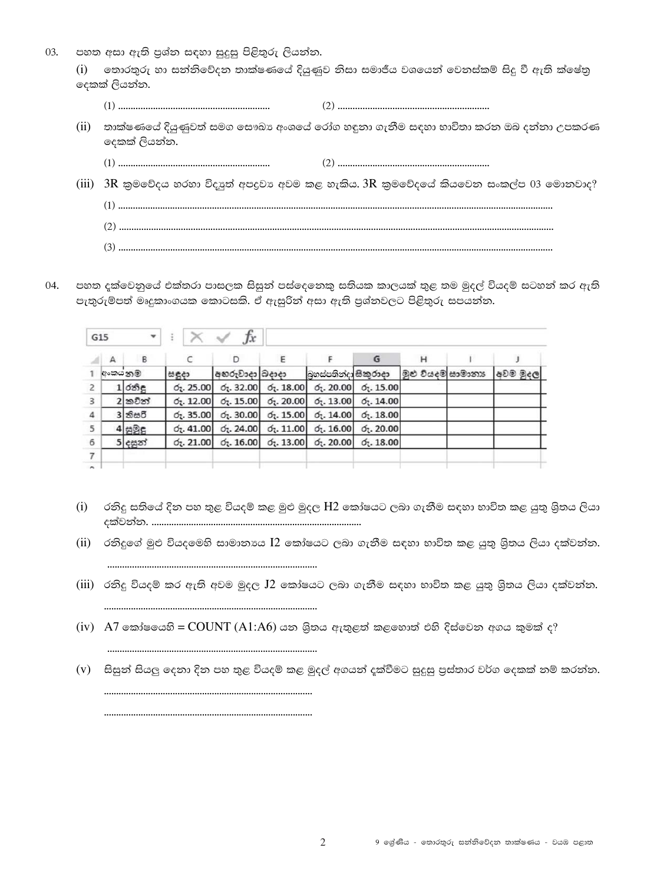03. පහත අසා ඇති පුශ්න සඳහා සුදුසු පිළිතුරු ලියන්න.

> තොරතුරු හා සත්තිවේදත තාක්ෂණයේ දියුණුව නිසා සමාජීය වශයෙත් වෙතස්කම් සිදු වී ඇති ක්ෂේතු  $(i)$ දෙකක් ලියන්න.

- 
- (ii) තාක්ෂණයේ දියුණුවත් සමග සෞඛා අංශයේ රෝග හඳුනා ගැනීම සඳහා භාවිතා කරන ඔබ දන්නා උපකරණ දෙකක් ලියන්න.
- (iii)  $3R$  කුමවේදය හරහා විදාෘත් අපදවා අවම කළ හැකිය.  $3R$  කුමවේදයේ කියවෙන සංකල්ප 03 මොනවාද?
	-
- පහත දක්වෙනුයේ එක්තරා පාසලක සිසුන් පස්දෙනෙකු සතියක කාලයක් තුළ තම මුදල් වියදම් සටහන් කර ඇති 04. පැතුරුම්පත් මෘදුකාංගයක කොටසකි. ඒ ඇසුරින් අසා ඇති පුශ්තවලට පිළිතුරු සපයන්න.

|                | G15     | ۰         |                    | Jx                            |                              |                          |                                                             |                   |          |
|----------------|---------|-----------|--------------------|-------------------------------|------------------------------|--------------------------|-------------------------------------------------------------|-------------------|----------|
|                | A       | B         |                    | D                             | Ε                            |                          | G                                                           | Н                 |          |
|                | අංකයනුම |           | සඳුදා              | අහරුවාදා බදාදා                |                              | බහස්පතින්දා සිකුරාදා     |                                                             | මුළු වියදම සාමානා | අවම මුදල |
| $\overline{c}$ |         | $1$ රනිද  | 6, 25.00           | 6, 32.00                      | $\sigma$ . 18.00             |                          | $\sigma$ <sub>7</sub> . 20.00 $\sigma$ <sub>7</sub> . 15.00 |                   |          |
| 3              |         | 2කවින්    | 6, 12.00           | 6, 15.00                      | $\sigma_{\tilde{t}}$ . 20.00 | $\sigma_{\zeta}$ . 13.00 | $\sigma$ <sub>7</sub> . 14.00                               |                   |          |
| $\overline{4}$ |         | $3$ කිසරි | 6, 35.00           | $\sigma$ <sub>z</sub> . 30.00 | $\sigma_1$ . 15.00           | $\sigma$ . 14.00         | $\sigma$ <sub>7</sub> . 18.00                               |                   |          |
| 5              |         | 4.895     | 6, 41.00           | 6, 24.00                      | $\sigma_1$ . 11.00           | $\sigma_{\rm L}$ . 16.00 | 6, 20.00                                                    |                   |          |
| 6              |         | 5 දසුන්   | $\sigma_2$ , 21.00 | $\sigma$ <sub>7</sub> . 16.00 | 6, 13.00                     | $\sigma_1$ . 20.00       | $\sigma$ . 18.00                                            |                   |          |
| $\overline{7}$ |         |           |                    |                               |                              |                          |                                                             |                   |          |
| $\sim$         |         |           |                    |                               |                              |                          |                                                             |                   |          |

- (i) රනිදු සතියේ දින පහ තුළ වියදම් කළ මුළු මුදල H2 කෝෂයට ලබා ගැනීම සඳහා භාවිත කළ යුතු ශිුතය ලියා
- (ii) රනිදුගේ මුළු වියදමෙහි සාමානාය I2 කෝෂයට ලබා ගැනීම සඳහා භාවිත කළ යුතු ශිතය ලියා දක්වන්න.
- (iii) රනිදු වියදම් කර ඇති අවම මුදල J2 කෝෂයට ලබා ගැනීම සඳහා භාවිත කළ යුතු ශිුතය ලියා දක්වන්න.
- $(iv)$  A7 කෝෂයෙහි = COUNT (A1:A6) යන ශිුතය ඇතුළත් කළහොත් එහි දිස්වෙන අගය කුමක් ද?

(v) සිසුන් සියලු දෙනා දින පහ තුළ වියදම් කළ මුදල් අගයන් දක්වීමට සුදුසු පුස්තාර වර්ග දෙකක් නම් කරන්න. 

 $\overline{2}$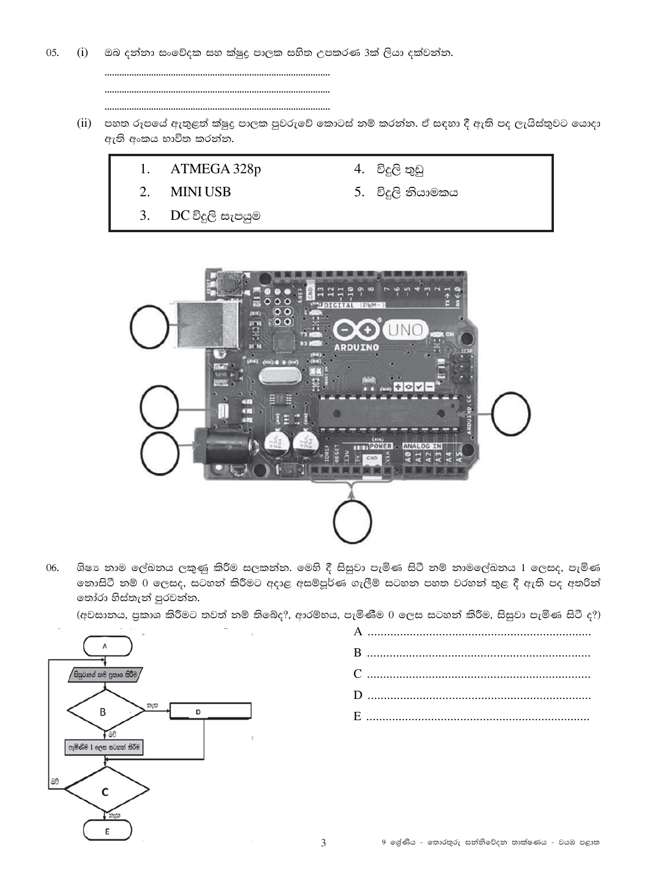05.  $(i)$ ඔබ දන්නා සංවේදක සහ ක්ෂුදු පාලක සහිත උපකරණ 3ක් ලියා දක්වන්න.

- (ii) පහත රූපයේ ඇතුළත් ක්ෂුදු පාලක පුවරුවේ කොටස් නම් කරන්න. ඒ සඳහා දී ඇති පද ලැයිස්තුවට යොදා ඇති අංකය භාවිත කරන්න.
	- 1. ATMEGA 328p
	- $2.$ **MINIUSB**
	- $3.$ DC විදුලි සැපයුම
- 4. විදුලි තුඩු
- 5. විදුලි නියාමකය



ශිෂා නාම ලේඛනය ලකුණු කිරීම සලකන්න. මෙහි දී සිසුවා පැමිණ සිටී නම් නාමලේඛනය 1 ලෙසද, පැමිණ 06. තොසිටී නම් 0 ලෙසද, සටහන් කිරීමට අදාළ අසම්පූර්ණ ගැලීම් සටහන පහත වරහන් තුළ දී ඇති පද අතරින් තෝරා හිස්තැන් පුරවන්න.

(අවසානය, පුකාශ කිරීමට තවත් නම් තිබේද?, ආරම්භය, පැමිණීම 0 ලෙස සටහන් කිරීම, සිසුවා පැමිණ සිටී ද?)

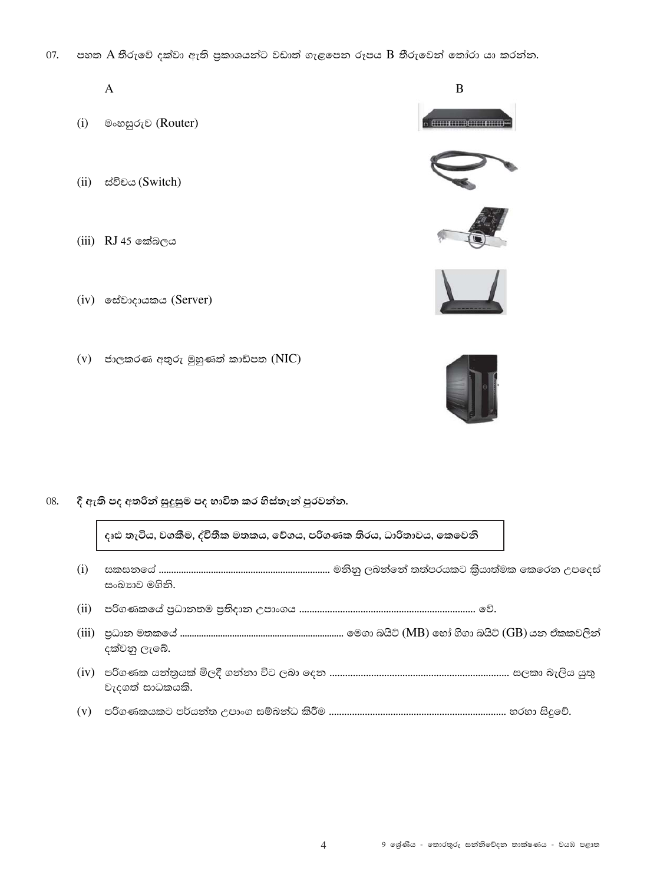07. පහත A තීරුවේ දක්වා ඇති පුකාශයන්ට වඩාත් ගැළපෙන රූපය B තීරුවෙන් තෝරා යා කරන්න.

## $\overline{A}$

- (i) මංහසුරුව (Router)
- (ii) ස්විචය (Switch)
- $(iii)$  RJ 45 කේබලය
- (iv) මස්වාදායකය (Server)
- $(v)$  ජාලකරණ අතුරු මුහුණත් කාඩ්පත  $(NIC)$

08. දී ඇති පද අතරින් සුදුසුම පද භාවිත කර හිස්තැන් පුරවන්න.

දෘඪ තැටිය, වගකීම, ද්විතීක මතකය, වේගය, පරිගණක තිරය, ධාරිතාවය, කෙවෙනි

- සංඛාගව මගිනි. දක්වනු ලැබේ.
- වැදගත් සාධකයකි.
- 



B